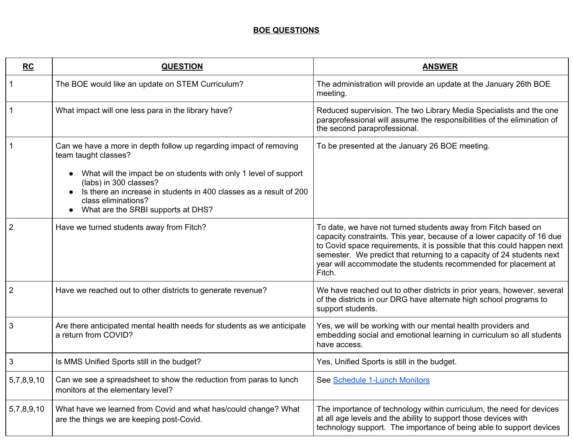## **BOE QUESTIONS**

| <b>RC</b>      | <b>QUESTION</b>                                                                                                                                                                                                                                                                                                             | <b>ANSWER</b>                                                                                                                                                                                                                                                                                                                                                            |
|----------------|-----------------------------------------------------------------------------------------------------------------------------------------------------------------------------------------------------------------------------------------------------------------------------------------------------------------------------|--------------------------------------------------------------------------------------------------------------------------------------------------------------------------------------------------------------------------------------------------------------------------------------------------------------------------------------------------------------------------|
|                | The BOE would like an update on STEM Curriculum?                                                                                                                                                                                                                                                                            | The administration will provide an update at the January 26th BOE<br>meeting.                                                                                                                                                                                                                                                                                            |
| $\mathbf 1$    | What impact will one less para in the library have?                                                                                                                                                                                                                                                                         | Reduced supervision. The two Library Media Specialists and the one<br>paraprofessional will assume the responsibilities of the elimination of<br>the second paraprofessional.                                                                                                                                                                                            |
| $\mathbf 1$    | Can we have a more in depth follow up regarding impact of removing<br>team taught classes?<br>What will the impact be on students with only 1 level of support<br>(labs) in 300 classes?<br>Is there an increase in students in 400 classes as a result of 200<br>class eliminations?<br>What are the SRBI supports at DHS? | To be presented at the January 26 BOE meeting.                                                                                                                                                                                                                                                                                                                           |
| $\overline{2}$ | Have we turned students away from Fitch?                                                                                                                                                                                                                                                                                    | To date, we have not turned students away from Fitch based on<br>capacity constraints. This year, because of a lower capacity of 16 due<br>to Covid space requirements, it is possible that this could happen next<br>semester. We predict that returning to a capacity of 24 students next<br>year will accommodate the students recommended for placement at<br>Fitch. |
| $\overline{2}$ | Have we reached out to other districts to generate revenue?                                                                                                                                                                                                                                                                 | We have reached out to other districts in prior years, however, several<br>of the districts in our DRG have alternate high school programs to<br>support students.                                                                                                                                                                                                       |
| 3              | Are there anticipated mental health needs for students as we anticipate<br>a return from COVID?                                                                                                                                                                                                                             | Yes, we will be working with our mental health providers and<br>embedding social and emotional learning in curriculum so all students<br>have access.                                                                                                                                                                                                                    |
| 3              | Is MMS Unified Sports still in the budget?                                                                                                                                                                                                                                                                                  | Yes, Unified Sports is still in the budget.                                                                                                                                                                                                                                                                                                                              |
| 5,7,8,9,10     | Can we see a spreadsheet to show the reduction from paras to lunch<br>monitors at the elementary level?                                                                                                                                                                                                                     | See Schedule 1-Lunch Monitors                                                                                                                                                                                                                                                                                                                                            |
| 5,7,8,9,10     | What have we learned from Covid and what has/could change? What<br>are the things we are keeping post-Covid.                                                                                                                                                                                                                | The importance of technology within curriculum, the need for devices<br>at all age levels and the ability to support those devices with<br>technology support. The importance of being able to support devices                                                                                                                                                           |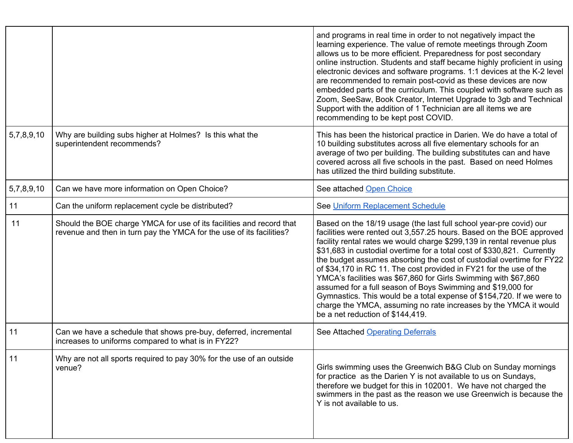|            |                                                                                                                                              | and programs in real time in order to not negatively impact the<br>learning experience. The value of remote meetings through Zoom<br>allows us to be more efficient. Preparedness for post secondary<br>online instruction. Students and staff became highly proficient in using<br>electronic devices and software programs. 1:1 devices at the K-2 level<br>are recommended to remain post-covid as these devices are now<br>embedded parts of the curriculum. This coupled with software such as<br>Zoom, SeeSaw, Book Creator, Internet Upgrade to 3gb and Technical<br>Support with the addition of 1 Technician are all items we are<br>recommending to be kept post COVID.                                                                                |
|------------|----------------------------------------------------------------------------------------------------------------------------------------------|------------------------------------------------------------------------------------------------------------------------------------------------------------------------------------------------------------------------------------------------------------------------------------------------------------------------------------------------------------------------------------------------------------------------------------------------------------------------------------------------------------------------------------------------------------------------------------------------------------------------------------------------------------------------------------------------------------------------------------------------------------------|
| 5,7,8,9,10 | Why are building subs higher at Holmes? Is this what the<br>superintendent recommends?                                                       | This has been the historical practice in Darien. We do have a total of<br>10 building substitutes across all five elementary schools for an<br>average of two per building. The building substitutes can and have<br>covered across all five schools in the past. Based on need Holmes<br>has utilized the third building substitute.                                                                                                                                                                                                                                                                                                                                                                                                                            |
| 5,7,8,9,10 | Can we have more information on Open Choice?                                                                                                 | See attached Open Choice                                                                                                                                                                                                                                                                                                                                                                                                                                                                                                                                                                                                                                                                                                                                         |
| 11         | Can the uniform replacement cycle be distributed?                                                                                            | See Uniform Replacement Schedule                                                                                                                                                                                                                                                                                                                                                                                                                                                                                                                                                                                                                                                                                                                                 |
| 11         | Should the BOE charge YMCA for use of its facilities and record that<br>revenue and then in turn pay the YMCA for the use of its facilities? | Based on the 18/19 usage (the last full school year-pre covid) our<br>facilities were rented out 3,557.25 hours. Based on the BOE approved<br>facility rental rates we would charge \$299,139 in rental revenue plus<br>\$31,683 in custodial overtime for a total cost of \$330,821. Currently<br>the budget assumes absorbing the cost of custodial overtime for FY22<br>of \$34,170 in RC 11. The cost provided in FY21 for the use of the<br>YMCA's facilities was \$67,860 for Girls Swimming with \$67,860<br>assumed for a full season of Boys Swimming and \$19,000 for<br>Gymnastics. This would be a total expense of \$154,720. If we were to<br>charge the YMCA, assuming no rate increases by the YMCA it would<br>be a net reduction of \$144,419. |
| 11         | Can we have a schedule that shows pre-buy, deferred, incremental<br>increases to uniforms compared to what is in FY22?                       | See Attached Operating Deferrals                                                                                                                                                                                                                                                                                                                                                                                                                                                                                                                                                                                                                                                                                                                                 |
| 11         | Why are not all sports required to pay 30% for the use of an outside<br>venue?                                                               | Girls swimming uses the Greenwich B&G Club on Sunday mornings<br>for practice as the Darien Y is not available to us on Sundays,<br>therefore we budget for this in 102001. We have not charged the<br>swimmers in the past as the reason we use Greenwich is because the<br>Y is not available to us.                                                                                                                                                                                                                                                                                                                                                                                                                                                           |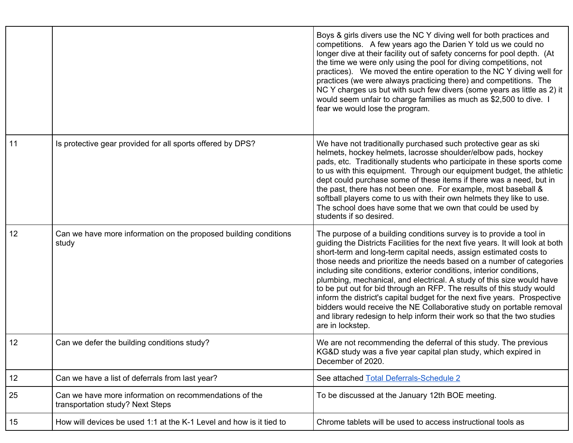|    |                                                                                            | Boys & girls divers use the NC Y diving well for both practices and<br>competitions. A few years ago the Darien Y told us we could no<br>longer dive at their facility out of safety concerns for pool depth. (At<br>the time we were only using the pool for diving competitions, not<br>practices). We moved the entire operation to the NC Y diving well for<br>practices (we were always practicing there) and competitions. The<br>NC Y charges us but with such few divers (some years as little as 2) it<br>would seem unfair to charge families as much as \$2,500 to dive. I<br>fear we would lose the program.                                                                                                                                                        |
|----|--------------------------------------------------------------------------------------------|---------------------------------------------------------------------------------------------------------------------------------------------------------------------------------------------------------------------------------------------------------------------------------------------------------------------------------------------------------------------------------------------------------------------------------------------------------------------------------------------------------------------------------------------------------------------------------------------------------------------------------------------------------------------------------------------------------------------------------------------------------------------------------|
| 11 | Is protective gear provided for all sports offered by DPS?                                 | We have not traditionally purchased such protective gear as ski<br>helmets, hockey helmets, lacrosse shoulder/elbow pads, hockey<br>pads, etc. Traditionally students who participate in these sports come<br>to us with this equipment. Through our equipment budget, the athletic<br>dept could purchase some of these items if there was a need, but in<br>the past, there has not been one. For example, most baseball &<br>softball players come to us with their own helmets they like to use.<br>The school does have some that we own that could be used by<br>students if so desired.                                                                                                                                                                                  |
| 12 | Can we have more information on the proposed building conditions<br>study                  | The purpose of a building conditions survey is to provide a tool in<br>guiding the Districts Facilities for the next five years. It will look at both<br>short-term and long-term capital needs, assign estimated costs to<br>those needs and prioritize the needs based on a number of categories<br>including site conditions, exterior conditions, interior conditions,<br>plumbing, mechanical, and electrical. A study of this size would have<br>to be put out for bid through an RFP. The results of this study would<br>inform the district's capital budget for the next five years. Prospective<br>bidders would receive the NE Collaborative study on portable removal<br>and library redesign to help inform their work so that the two studies<br>are in lockstep. |
| 12 | Can we defer the building conditions study?                                                | We are not recommending the deferral of this study. The previous<br>KG&D study was a five year capital plan study, which expired in<br>December of 2020.                                                                                                                                                                                                                                                                                                                                                                                                                                                                                                                                                                                                                        |
| 12 | Can we have a list of deferrals from last year?                                            | See attached Total Deferrals-Schedule 2                                                                                                                                                                                                                                                                                                                                                                                                                                                                                                                                                                                                                                                                                                                                         |
| 25 | Can we have more information on recommendations of the<br>transportation study? Next Steps | To be discussed at the January 12th BOE meeting.                                                                                                                                                                                                                                                                                                                                                                                                                                                                                                                                                                                                                                                                                                                                |
| 15 | How will devices be used 1:1 at the K-1 Level and how is it tied to                        | Chrome tablets will be used to access instructional tools as                                                                                                                                                                                                                                                                                                                                                                                                                                                                                                                                                                                                                                                                                                                    |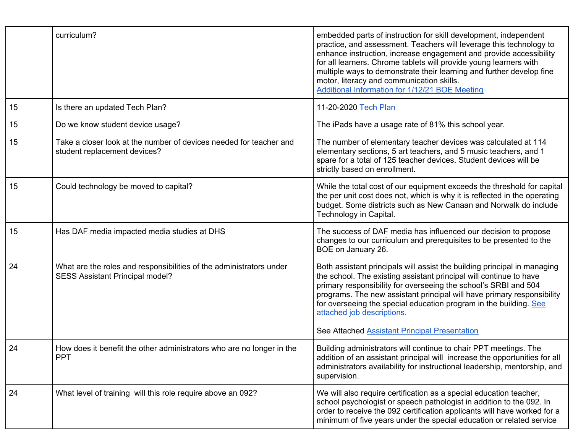|    | curriculum?                                                                                            | embedded parts of instruction for skill development, independent<br>practice, and assessment. Teachers will leverage this technology to<br>enhance instruction, increase engagement and provide accessibility<br>for all learners. Chrome tablets will provide young learners with<br>multiple ways to demonstrate their learning and further develop fine<br>motor, literacy and communication skills.<br>Additional Information for 1/12/21 BOE Meeting |
|----|--------------------------------------------------------------------------------------------------------|-----------------------------------------------------------------------------------------------------------------------------------------------------------------------------------------------------------------------------------------------------------------------------------------------------------------------------------------------------------------------------------------------------------------------------------------------------------|
| 15 | Is there an updated Tech Plan?                                                                         | 11-20-2020 Tech Plan                                                                                                                                                                                                                                                                                                                                                                                                                                      |
| 15 | Do we know student device usage?                                                                       | The iPads have a usage rate of 81% this school year.                                                                                                                                                                                                                                                                                                                                                                                                      |
| 15 | Take a closer look at the number of devices needed for teacher and<br>student replacement devices?     | The number of elementary teacher devices was calculated at 114<br>elementary sections, 5 art teachers, and 5 music teachers, and 1<br>spare for a total of 125 teacher devices. Student devices will be<br>strictly based on enrollment.                                                                                                                                                                                                                  |
| 15 | Could technology be moved to capital?                                                                  | While the total cost of our equipment exceeds the threshold for capital<br>the per unit cost does not, which is why it is reflected in the operating<br>budget. Some districts such as New Canaan and Norwalk do include<br>Technology in Capital.                                                                                                                                                                                                        |
| 15 | Has DAF media impacted media studies at DHS                                                            | The success of DAF media has influenced our decision to propose<br>changes to our curriculum and prerequisites to be presented to the<br>BOE on January 26.                                                                                                                                                                                                                                                                                               |
| 24 | What are the roles and responsibilities of the administrators under<br>SESS Assistant Principal model? | Both assistant principals will assist the building principal in managing<br>the school. The existing assistant principal will continue to have<br>primary responsibility for overseeing the school's SRBI and 504<br>programs. The new assistant principal will have primary responsibility<br>for overseeing the special education program in the building. See<br>attached job descriptions.<br>See Attached Assistant Principal Presentation           |
| 24 | How does it benefit the other administrators who are no longer in the<br><b>PPT</b>                    | Building administrators will continue to chair PPT meetings. The<br>addition of an assistant principal will increase the opportunities for all<br>administrators availability for instructional leadership, mentorship, and<br>supervision.                                                                                                                                                                                                               |
| 24 | What level of training will this role require above an 092?                                            | We will also require certification as a special education teacher,<br>school psychologist or speech pathologist in addition to the 092. In<br>order to receive the 092 certification applicants will have worked for a<br>minimum of five years under the special education or related service                                                                                                                                                            |